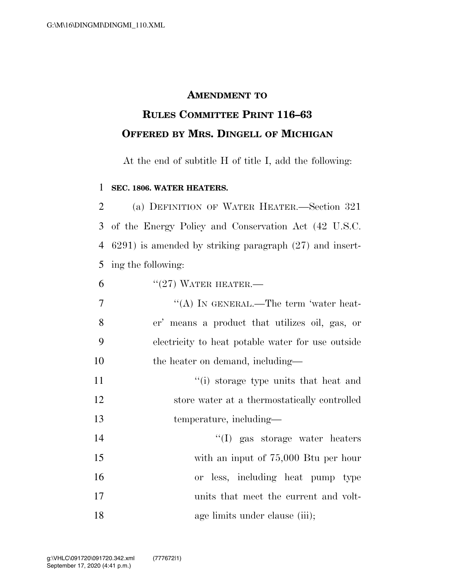## **AMENDMENT TO**

## **RULES COMMITTEE PRINT 116–63 OFFERED BY MRS. DINGELL OF MICHIGAN**

At the end of subtitle H of title I, add the following:

## 1 **SEC. 1806. WATER HEATERS.**

 (a) DEFINITION OF WATER HEATER.—Section 321 of the Energy Policy and Conservation Act (42 U.S.C. 6291) is amended by striking paragraph (27) and insert-ing the following:

| $"$ (27) WATER HEATER.—<br>6 |  |
|------------------------------|--|
|------------------------------|--|

7 "'(A) IN GENERAL.—The term 'water heat-8 er' means a product that utilizes oil, gas, or 9 electricity to heat potable water for use outside 10 the heater on demand, including—

11 ''(i) storage type units that heat and 12 store water at a thermostatically controlled 13 temperature, including—

 ''(I) gas storage water heaters with an input of 75,000 Btu per hour or less, including heat pump type units that meet the current and volt-18 age limits under clause (iii);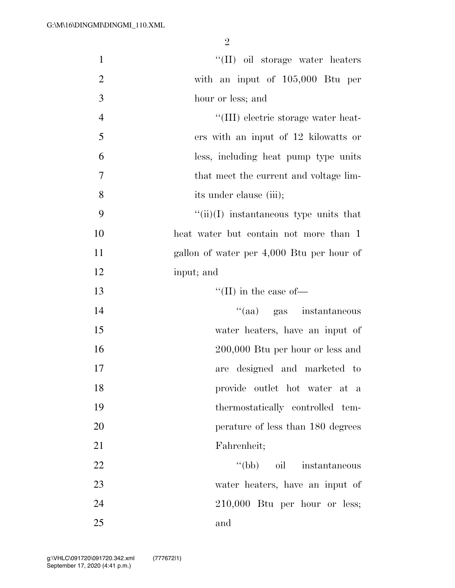| $\mathbf{1}$   | "(II) oil storage water heaters                |
|----------------|------------------------------------------------|
| $\overline{2}$ | with an input of 105,000 Btu per               |
| 3              | hour or less; and                              |
| $\overline{4}$ | "(III) electric storage water heat-            |
| 5              | ers with an input of 12 kilowatts or           |
| 6              | less, including heat pump type units           |
| 7              | that meet the current and voltage lim-         |
| 8              | its under clause (iii);                        |
| 9              | $\lq\lq$ (ii)(I) instantaneous type units that |
| 10             | heat water but contain not more than 1         |
| 11             | gallon of water per 4,000 Btu per hour of      |
| 12             | input; and                                     |
| 13             | $``(II)$ in the case of—                       |
| 14             | "(aa) gas instantaneous                        |
| 15             | water heaters, have an input of                |
| 16             | $200,000$ Btu per hour or less and             |
| 17             | are designed and marketed to                   |
| 18             | provide outlet hot water at a                  |
| 19             | thermostatically controlled tem-               |
| 20             | perature of less than 180 degrees              |
| 21             | Fahrenheit;                                    |
| 22             | "(bb) oil instantaneous                        |
| 23             | water heaters, have an input of                |
| 24             | $210,000$ Btu per hour or less;                |
| 25             | and                                            |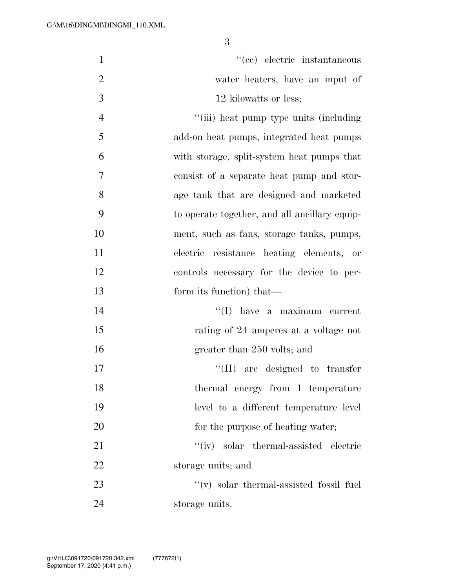| $\mathbf{1}$   | "(cc) electric instantaneous                  |
|----------------|-----------------------------------------------|
| $\overline{2}$ | water heaters, have an input of               |
| 3              | 12 kilowatts or less;                         |
| $\overline{4}$ | "(iii) heat pump type units (including)       |
| 5              | add-on heat pumps, integrated heat pumps      |
| 6              | with storage, split-system heat pumps that    |
| 7              | consist of a separate heat pump and stor-     |
| 8              | age tank that are designed and marketed       |
| 9              | to operate together, and all ancillary equip- |
| 10             | ment, such as fans, storage tanks, pumps,     |
| 11             | electric resistance heating elements, or      |
| 12             | controls necessary for the device to per-     |
| 13             | form its function) that—                      |
| 14             | $\lq\lq$ (I) have a maximum current           |
| 15             | rating of 24 amperes at a voltage not         |
| 16             | greater than 250 volts; and                   |
| 17             | are designed to transfer<br>``(II)            |
| 18             | thermal energy from 1 temperature             |
| 19             | level to a different temperature level        |
| 20             | for the purpose of heating water;             |
| 21             | "(iv) solar thermal-assisted electric         |
| 22             | storage units; and                            |
| 23             | $``(v)$ solar thermal-assisted fossil fuel    |
| 24             | storage units.                                |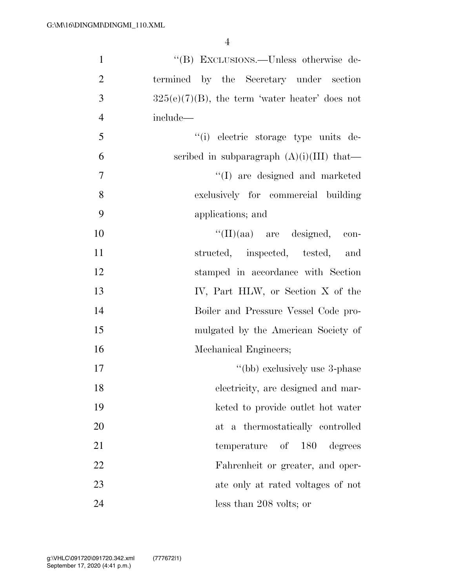| $\mathbf{1}$   | "(B) EXCLUSIONS.—Unless otherwise de-             |
|----------------|---------------------------------------------------|
| $\overline{2}$ | termined by the Secretary under section           |
| 3              | $325(e)(7)(B)$ , the term 'water heater' does not |
| $\overline{4}$ | include—                                          |
| 5              | "(i) electric storage type units de-              |
| 6              | scribed in subparagraph $(A)(i)(III)$ that—       |
| $\tau$         | "(I) are designed and marketed                    |
| 8              | exclusively for commercial building               |
| 9              | applications; and                                 |
| 10             | $\lq\lq$ (II)(aa) are designed, con-              |
| 11             | structed, inspected, tested, and                  |
| 12             | stamped in accordance with Section                |
| 13             | IV, Part HLW, or Section X of the                 |
| 14             | Boiler and Pressure Vessel Code pro-              |
| 15             | mulgated by the American Society of               |
| 16             | Mechanical Engineers;                             |
| 17             | "(bb) exclusively use 3-phase                     |
| 18             | electricity, are designed and mar-                |
| 19             | keted to provide outlet hot water                 |
| 20             | at a thermostatically controlled                  |
| 21             | temperature of 180 degrees                        |
| 22             | Fahrenheit or greater, and oper-                  |
| 23             | ate only at rated voltages of not                 |
| 24             | less than 208 volts; or                           |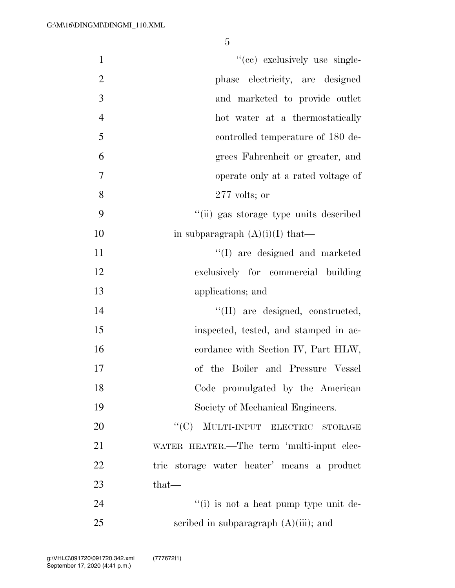| $\mathbf{1}$   | "(cc) exclusively use single-                         |
|----------------|-------------------------------------------------------|
| $\overline{2}$ | phase electricity, are designed                       |
| 3              | and marketed to provide outlet                        |
| $\overline{4}$ | hot water at a thermostatically                       |
| 5              | controlled temperature of 180 de-                     |
| 6              | grees Fahrenheit or greater, and                      |
| 7              | operate only at a rated voltage of                    |
| 8              | $277$ volts; or                                       |
| 9              | "(ii) gas storage type units described                |
| 10             | in subparagraph $(A)(i)(I)$ that—                     |
| 11             | "(I) are designed and marketed                        |
| 12             | exclusively for commercial building                   |
| 13             | applications; and                                     |
| 14             | "(II) are designed, constructed,                      |
| 15             | inspected, tested, and stamped in ac-                 |
| 16             | cordance with Section IV, Part HLW,                   |
| 17             | of the Boiler and Pressure Vessel                     |
| 18             | Code promulgated by the American                      |
| 19             | Society of Mechanical Engineers.                      |
| 20             | "(C) MULTI-INPUT ELECTRIC<br>$\operatorname{STORAGE}$ |
| 21             | WATER HEATER.—The term 'multi-input elec-             |
| 22             | tric storage water heater' means a product            |
| 23             | $that-$                                               |
| 24             | "(i) is not a heat pump type unit de-                 |
| 25             | scribed in subparagraph $(A)(iii)$ ; and              |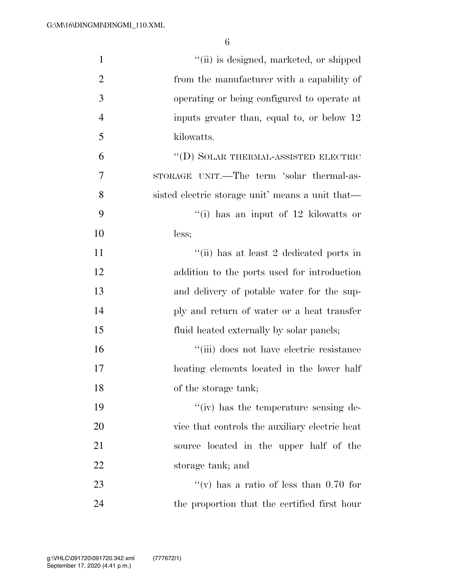| $\mathbf{1}$   | "(ii) is designed, marketed, or shipped          |
|----------------|--------------------------------------------------|
| $\overline{2}$ | from the manufacturer with a capability of       |
| 3              | operating or being configured to operate at      |
| $\overline{4}$ | inputs greater than, equal to, or below 12       |
| 5              | kilowatts.                                       |
| 6              | "(D) SOLAR THERMAL-ASSISTED ELECTRIC             |
| 7              | STORAGE UNIT.—The term 'solar thermal-as-        |
| 8              | sisted electric storage unit' means a unit that— |
| 9              | "(i) has an input of $12$ kilowatts or           |
| 10             | less;                                            |
| 11             | "(ii) has at least 2 dedicated ports in          |
| 12             | addition to the ports used for introduction      |
| 13             | and delivery of potable water for the sup-       |
| 14             | ply and return of water or a heat transfer       |
| 15             | fluid heated externally by solar panels;         |
| 16             | "(iii) does not have electric resistance         |
| 17             | heating elements located in the lower half       |
| 18             | of the storage tank;                             |
| 19             | "(iv) has the temperature sensing de-            |
| 20             | vice that controls the auxiliary electric heat   |
| 21             | source located in the upper half of the          |
| 22             | storage tank; and                                |
| 23             | "(v) has a ratio of less than $0.70$ for         |
| 24             | the proportion that the certified first hour     |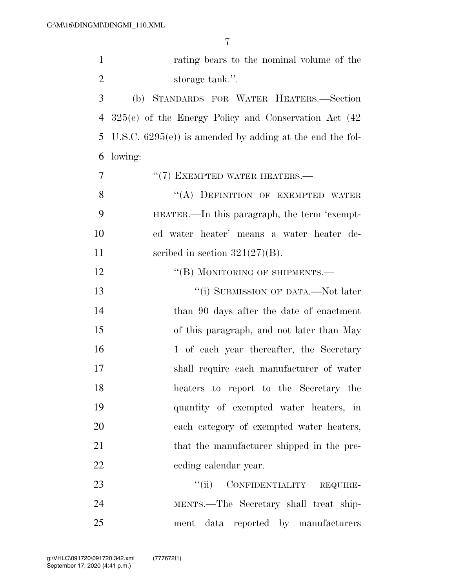| $\mathbf{1}$   | rating bears to the nominal volume of the                 |
|----------------|-----------------------------------------------------------|
| $\overline{2}$ | storage tank.".                                           |
| 3              | (b) STANDARDS FOR WATER HEATERS.-Section                  |
| 4              | $325(e)$ of the Energy Policy and Conservation Act $(42)$ |
| 5              | U.S.C. $6295(e)$ is amended by adding at the end the fol- |
| 6              | lowing:                                                   |
| 7              | $``(7)$ EXEMPTED WATER HEATERS.—                          |
| 8              | "(A) DEFINITION OF EXEMPTED WATER                         |
| 9              | HEATER.—In this paragraph, the term 'exempt-              |
| 10             | ed water heater' means a water heater de-                 |
| 11             | scribed in section $321(27)(B)$ .                         |
| 12             | "(B) MONITORING OF SHIPMENTS.—                            |
| 13             | "(i) SUBMISSION OF DATA.—Not later                        |
| 14             | than 90 days after the date of enactment                  |
| 15             | of this paragraph, and not later than May                 |
| 16             | 1 of each year thereafter, the Secretary                  |
| 17             | shall require each manufacturer of water                  |
| 18             | heaters to report to the Secretary the                    |
| 19             | quantity of exempted water heaters, in                    |
| 20             | each category of exempted water heaters,                  |
| 21             | that the manufacturer shipped in the pre-                 |
| 22             | ceding calendar year.                                     |
| 23             | ``(ii)<br>CONFIDENTIALITY REQUIRE-                        |
| 24             | MENTS.—The Secretary shall treat ship-                    |
| 25             | ment data reported by manufacturers                       |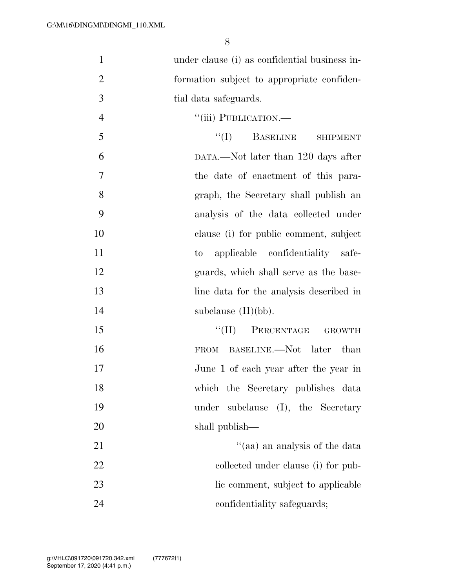| $\mathbf{1}$   | under clause (i) as confidential business in- |
|----------------|-----------------------------------------------|
| $\overline{2}$ | formation subject to appropriate confiden-    |
| 3              | tial data safeguards.                         |
| $\overline{4}$ | "(iii) PUBLICATION.-                          |
| 5              | ``(I)<br><b>BASELINE</b><br><b>SHIPMENT</b>   |
| 6              | DATA.—Not later than 120 days after           |
| $\overline{7}$ | the date of enactment of this para-           |
| 8              | graph, the Secretary shall publish an         |
| 9              | analysis of the data collected under          |
| 10             | clause (i) for public comment, subject        |
| 11             | applicable confidentiality safe-<br>$\rm{to}$ |
| 12             | guards, which shall serve as the base-        |
| 13             | line data for the analysis described in       |
| 14             | subclause $(II)(bb)$ .                        |
| 15             | $``(II)$ PERCENTAGE<br><b>GROWTH</b>          |
| 16             | FROM BASELINE.—Not later than                 |
| 17             | June 1 of each year after the year in         |
| 18             | which the Secretary publishes data            |
| 19             | subclause (I), the Secretary<br>under         |
| 20             | shall publish—                                |
| 21             | "(aa) an analysis of the data                 |
| 22             | collected under clause (i) for pub-           |
| 23             | lic comment, subject to applicable            |
| 24             | confidentiality safeguards;                   |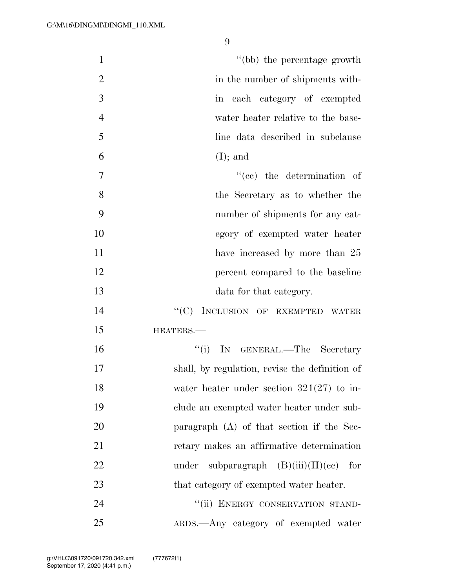| $\mathbf{1}$   | "(bb) the percentage growth                    |
|----------------|------------------------------------------------|
| $\overline{2}$ | in the number of shipments with-               |
| $\overline{3}$ | in each category of exempted                   |
| $\overline{4}$ | water heater relative to the base-             |
| 5              | line data described in subclause               |
| 6              | $(I);$ and                                     |
| $\tau$         | $f''(ee)$ the determination of                 |
| 8              | the Secretary as to whether the                |
| 9              | number of shipments for any cat-               |
| 10             | egory of exempted water heater                 |
| 11             | have increased by more than 25                 |
| 12             | percent compared to the baseline               |
| 13             | data for that category.                        |
| 14             | INCLUSION OF EXEMPTED WATER<br>``(C)           |
| 15             | HEATERS.                                       |
| 16             | ``(i)<br>IN GENERAL.—The Secretary             |
| 17             | shall, by regulation, revise the definition of |
| 18             | water heater under section $321(27)$ to in-    |
| 19             | clude an exempted water heater under sub-      |
| 20             | paragraph $(A)$ of that section if the Sec-    |
| 21             | retary makes an affirmative determination      |
| 22             | subparagraph $(B)(iii)(II)(ce)$ for<br>under   |
| 23             | that category of exempted water heater.        |
| 24             | "(ii) ENERGY CONSERVATION STAND-               |
| 25             | ARDS.—Any category of exempted water           |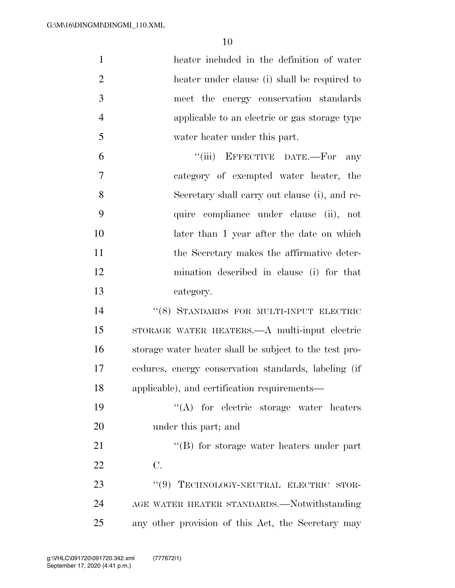| $\mathbf{1}$   | heater included in the definition of water             |
|----------------|--------------------------------------------------------|
| $\overline{2}$ | heater under clause (i) shall be required to           |
| 3              | meet the energy conservation standards                 |
| $\overline{4}$ | applicable to an electric or gas storage type          |
| 5              | water heater under this part.                          |
| 6              | "(iii) EFFECTIVE DATE.-For<br>any                      |
| $\overline{7}$ | category of exempted water heater, the                 |
| 8              | Secretary shall carry out clause (i), and re-          |
| 9              | quire compliance under clause (ii), not                |
| 10             | later than 1 year after the date on which              |
| 11             | the Secretary makes the affirmative deter-             |
| 12             | mination described in clause (i) for that              |
| 13             | category.                                              |
| 14             | "(8) STANDARDS FOR MULTI-INPUT ELECTRIC                |
| 15             | STORAGE WATER HEATERS.—A multi-input electric          |
| 16             | storage water heater shall be subject to the test pro- |
| 17             | cedures, energy conservation standards, labeling (if   |
| 18             | applicable), and certification requirements—           |
| 19             | $\lq\lq$ for electric storage water heaters            |
| 20             | under this part; and                                   |
| 21             | $\lq\lq$ for storage water heaters under part          |
| 22             | C.                                                     |
| 23             | "(9) TECHNOLOGY-NEUTRAL ELECTRIC<br>STOR-              |
| 24             | AGE WATER HEATER STANDARDS.—Notwithstanding            |
| 25             | any other provision of this Act, the Secretary may     |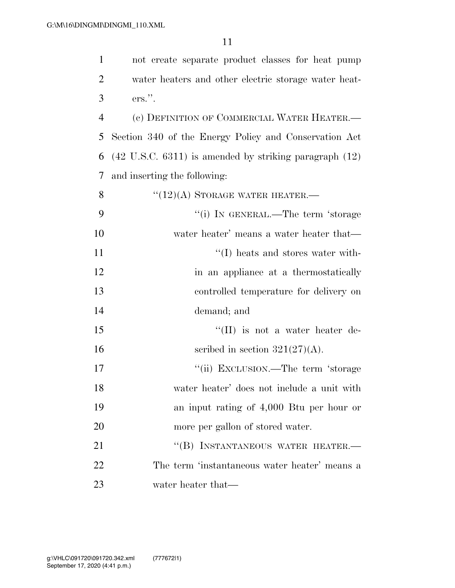| $\mathbf{1}$   | not create separate product classes for heat pump                   |
|----------------|---------------------------------------------------------------------|
| $\overline{2}$ | water heaters and other electric storage water heat-                |
| 3              | $ers.$ ".                                                           |
| $\overline{4}$ | (c) DEFINITION OF COMMERCIAL WATER HEATER.-                         |
| 5              | Section 340 of the Energy Policy and Conservation Act               |
| 6              | $(42 \text{ U.S.C. } 6311)$ is amended by striking paragraph $(12)$ |
| 7              | and inserting the following:                                        |
| 8              | $``(12)(A)$ STORAGE WATER HEATER.—                                  |
| 9              | "(i) IN GENERAL.—The term 'storage                                  |
| 10             | water heater' means a water heater that—                            |
| 11             | $\lq\lq$ (I) heats and stores water with-                           |
| 12             | in an appliance at a thermostatically                               |
| 13             | controlled temperature for delivery on                              |
| 14             | demand; and                                                         |
| 15             | $\lq\lq$ (II) is not a water heater de-                             |
| 16             | scribed in section $321(27)(A)$ .                                   |
| 17             | "(ii) EXCLUSION.—The term 'storage                                  |
| 18             | water heater' does not include a unit with                          |
| 19             | an input rating of 4,000 Btu per hour or                            |
| 20             | more per gallon of stored water.                                    |
| 21             | "(B) INSTANTANEOUS WATER HEATER.-                                   |
| 22             | The term 'instantaneous water heater' means a                       |
| 23             | water heater that—                                                  |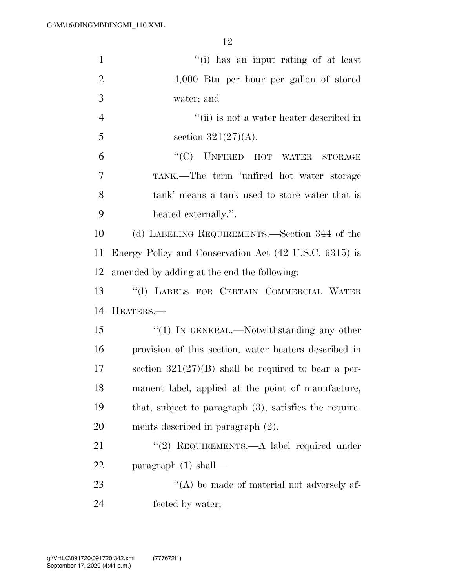| $\mathbf{1}$   | "(i) has an input rating of at least                      |
|----------------|-----------------------------------------------------------|
| $\overline{2}$ | $4,000$ Btu per hour per gallon of stored                 |
| 3              | water; and                                                |
| $\overline{4}$ | "(ii) is not a water heater described in                  |
| 5              | section $321(27)(A)$ .                                    |
| 6              | $``(C)$ UNFIRED HOT WATER<br><b>STORAGE</b>               |
| 7              | TANK.—The term 'unfired hot water storage                 |
| 8              | tank' means a tank used to store water that is            |
| 9              | heated externally.".                                      |
| 10             | (d) LABELING REQUIREMENTS.—Section 344 of the             |
| 11             | Energy Policy and Conservation Act (42 U.S.C. 6315) is    |
| 12             | amended by adding at the end the following:               |
| 13             | "(1) LABELS FOR CERTAIN COMMERCIAL WATER                  |
| 14             | HEATERS.                                                  |
| 15             | " $(1)$ In GENERAL.—Notwithstanding any other             |
| 16             | provision of this section, water heaters described in     |
| 17             | section $321(27)(B)$ shall be required to bear a per-     |
| 18             | manent label, applied at the point of manufacture,        |
| 19             | that, subject to paragraph $(3)$ , satisfies the require- |
| 20             | ments described in paragraph $(2)$ .                      |
| 21             | "(2) REQUIREMENTS.—A label required under                 |
| 22             | paragraph $(1)$ shall—                                    |
| 23             | $\lq\lq$ be made of material not adversely af-            |
| 24             | fected by water;                                          |